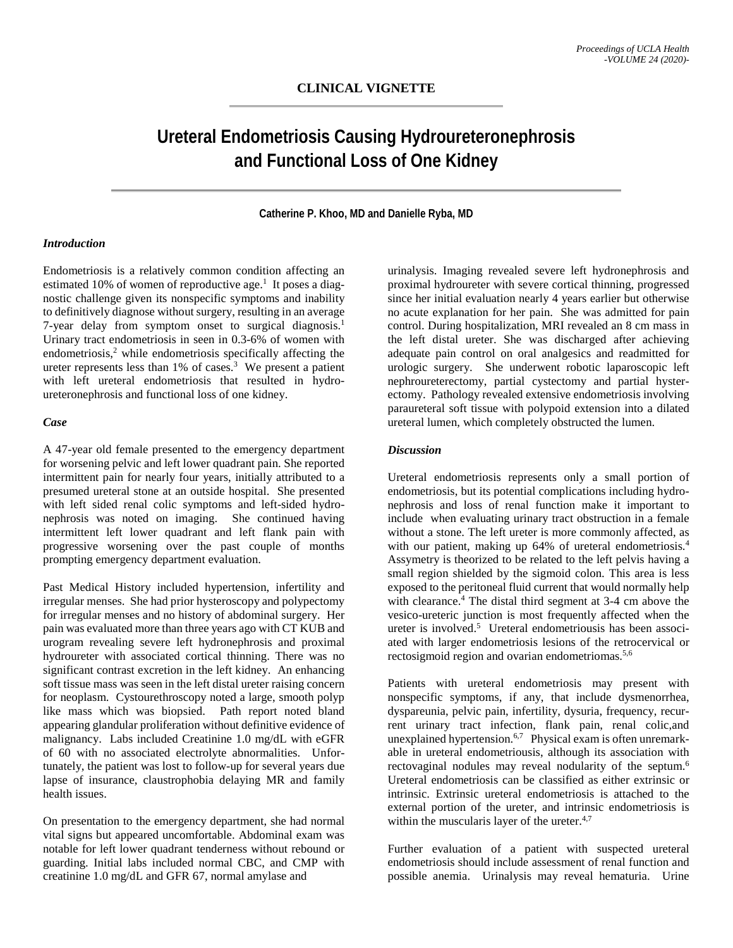# **Ureteral Endometriosis Causing Hydroureteronephrosis and Functional Loss of One Kidney**

**Catherine P. Khoo, MD and Danielle Ryba, MD**

### *Introduction*

Endometriosis is a relatively common condition affecting an estimated 10% of women of reproductive age.<sup>1</sup> It poses a diagnostic challenge given its nonspecific symptoms and inability to definitively diagnose without surgery, resulting in an average 7-year delay from symptom onset to surgical diagnosis.<sup>1</sup> Urinary tract endometriosis in seen in 0.3-6% of women with endometriosis, <sup>2</sup> while endometriosis specifically affecting the ureter represents less than 1% of cases. <sup>3</sup> We present a patient with left ureteral endometriosis that resulted in hydroureteronephrosis and functional loss of one kidney.

#### *Case*

A 47-year old female presented to the emergency department for worsening pelvic and left lower quadrant pain. She reported intermittent pain for nearly four years, initially attributed to a presumed ureteral stone at an outside hospital. She presented with left sided renal colic symptoms and left-sided hydronephrosis was noted on imaging. She continued having intermittent left lower quadrant and left flank pain with progressive worsening over the past couple of months prompting emergency department evaluation.

Past Medical History included hypertension, infertility and irregular menses. She had prior hysteroscopy and polypectomy for irregular menses and no history of abdominal surgery. Her pain was evaluated more than three years ago with CT KUB and urogram revealing severe left hydronephrosis and proximal hydroureter with associated cortical thinning. There was no significant contrast excretion in the left kidney. An enhancing soft tissue mass was seen in the left distal ureter raising concern for neoplasm. Cystourethroscopy noted a large, smooth polyp like mass which was biopsied. Path report noted bland appearing glandular proliferation without definitive evidence of malignancy. Labs included Creatinine 1.0 mg/dL with eGFR of 60 with no associated electrolyte abnormalities. Unfortunately, the patient was lost to follow-up for several years due lapse of insurance, claustrophobia delaying MR and family health issues.

On presentation to the emergency department, she had normal vital signs but appeared uncomfortable. Abdominal exam was notable for left lower quadrant tenderness without rebound or guarding. Initial labs included normal CBC, and CMP with creatinine 1.0 mg/dL and GFR 67, normal amylase and

urinalysis. Imaging revealed severe left hydronephrosis and proximal hydroureter with severe cortical thinning, progressed since her initial evaluation nearly 4 years earlier but otherwise no acute explanation for her pain. She was admitted for pain control. During hospitalization, MRI revealed an 8 cm mass in the left distal ureter. She was discharged after achieving adequate pain control on oral analgesics and readmitted for urologic surgery. She underwent robotic laparoscopic left nephroureterectomy, partial cystectomy and partial hysterectomy. Pathology revealed extensive endometriosis involving paraureteral soft tissue with polypoid extension into a dilated ureteral lumen, which completely obstructed the lumen.

#### *Discussion*

Ureteral endometriosis represents only a small portion of endometriosis, but its potential complications including hydronephrosis and loss of renal function make it important to include when evaluating urinary tract obstruction in a female without a stone. The left ureter is more commonly affected, as with our patient, making up 64% of ureteral endometriosis. 4 Assymetry is theorized to be related to the left pelvis having a small region shielded by the sigmoid colon. This area is less exposed to the peritoneal fluid current that would normally help with clearance. <sup>4</sup> The distal third segment at 3-4 cm above the vesico-ureteric junction is most frequently affected when the ureter is involved. <sup>5</sup> Ureteral endometriousis has been associated with larger endometriosis lesions of the retrocervical or rectosigmoid region and ovarian endometriomas.<sup>5,6</sup>

Patients with ureteral endometriosis may present with nonspecific symptoms, if any, that include dysmenorrhea, dyspareunia, pelvic pain, infertility, dysuria, frequency, recurrent urinary tract infection, flank pain, renal colic,and unexplained hypertension. 6,7 Physical exam is often unremarkable in ureteral endometriousis, although its association with rectovaginal nodules may reveal nodularity of the septum. 6 Ureteral endometriosis can be classified as either extrinsic or intrinsic. Extrinsic ureteral endometriosis is attached to the external portion of the ureter, and intrinsic endometriosis is within the muscularis layer of the ureter.<sup>4,7</sup>

Further evaluation of a patient with suspected ureteral endometriosis should include assessment of renal function and possible anemia. Urinalysis may reveal hematuria. Urine